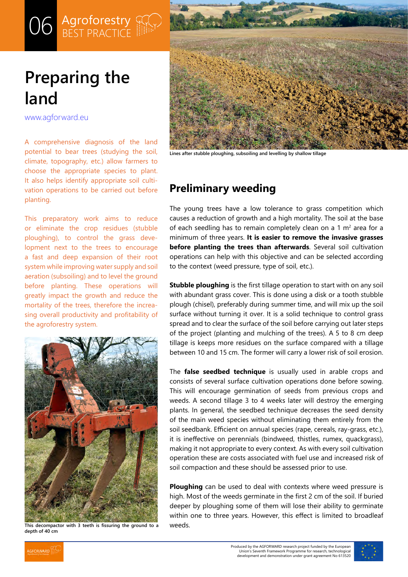# O6 **Agroforestry**<br>BEST PRACTICE

## **Preparing the land**

[www.agforward.eu](https://www.agforward.eu/index.php/en/)

A comprehensive diagnosis of the land potential to bear trees (studying the soil, climate, topography, etc.) allow farmers to choose the appropriate species to plant. It also helps identify appropriate soil cultivation operations to be carried out before planting.

This preparatory work aims to reduce or eliminate the crop residues (stubble ploughing), to control the grass development next to the trees to encourage a fast and deep expansion of their root system while improving water supply and soil aeration (subsoiling) and to level the ground before planting. These operations will greatly impact the growth and reduce the mortality of the trees, therefore the increasing overall productivity and profitability of the agroforestry system.



**This decompactor with 3 teeth is fissuring the ground to a depth of 40 cm**



**Lines after stubble ploughing, subsoiling and levelling by shallow tillage**

## **Preliminary weeding**

The young trees have a low tolerance to grass competition which causes a reduction of growth and a high mortality. The soil at the base of each seedling has to remain completely clean on a 1  $m<sup>2</sup>$  area for a minimum of three years. **It is easier to remove the invasive grasses before planting the trees than afterwards**. Several soil cultivation operations can help with this objective and can be selected according to the context (weed pressure, type of soil, etc.).

**Stubble ploughing** is the first tillage operation to start with on any soil with abundant grass cover. This is done using a disk or a tooth stubble plough (chisel), preferably during summer time, and will mix up the soil surface without turning it over. It is a solid technique to control grass spread and to clear the surface of the soil before carrying out later steps of the project (planting and mulching of the trees). A 5 to 8 cm deep tillage is keeps more residues on the surface compared with a tillage between 10 and 15 cm. The former will carry a lower risk of soil erosion.

The **false seedbed technique** is usually used in arable crops and consists of several surface cultivation operations done before sowing. This will encourage germination of seeds from previous crops and weeds. A second tillage 3 to 4 weeks later will destroy the emerging plants. In general, the seedbed technique decreases the seed density of the main weed species without eliminating them entirely from the soil seedbank. Efficient on annual species (rape, cereals, ray-grass, etc.), it is ineffective on perennials (bindweed, thistles, rumex, quackgrass), making it not appropriate to every context. As with every soil cultivation operation these are costs associated with fuel use and increased risk of soil compaction and these should be assessed prior to use.

**Ploughing** can be used to deal with contexts where weed pressure is high. Most of the weeds germinate in the first 2 cm of the soil. If buried deeper by ploughing some of them will lose their ability to germinate within one to three years. However, this effect is limited to broadleaf weeds.